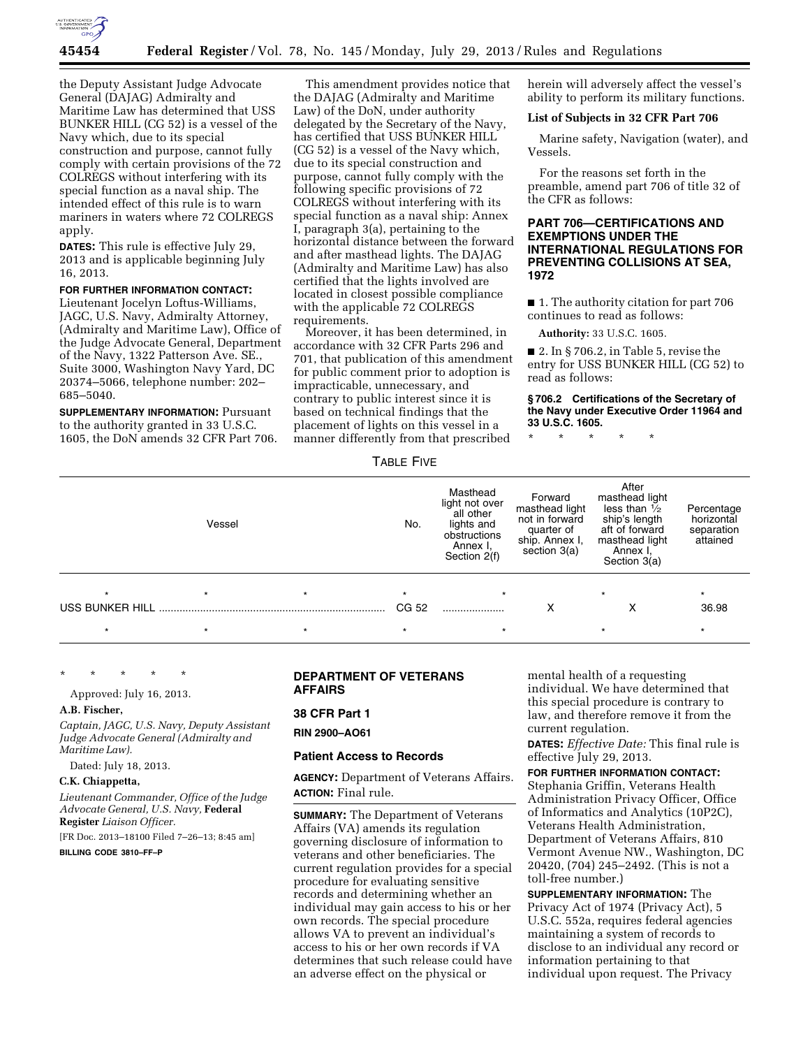

the Deputy Assistant Judge Advocate General (DAJAG) Admiralty and Maritime Law has determined that USS BUNKER HILL (CG 52) is a vessel of the Navy which, due to its special construction and purpose, cannot fully comply with certain provisions of the 72 COLREGS without interfering with its special function as a naval ship. The intended effect of this rule is to warn mariners in waters where 72 COLREGS apply.

**DATES:** This rule is effective July 29, 2013 and is applicable beginning July 16, 2013.

# **FOR FURTHER INFORMATION CONTACT:**

Lieutenant Jocelyn Loftus-Williams, JAGC, U.S. Navy, Admiralty Attorney, (Admiralty and Maritime Law), Office of the Judge Advocate General, Department of the Navy, 1322 Patterson Ave. SE., Suite 3000, Washington Navy Yard, DC 20374–5066, telephone number: 202– 685–5040.

**SUPPLEMENTARY INFORMATION:** Pursuant to the authority granted in 33 U.S.C. 1605, the DoN amends 32 CFR Part 706.

This amendment provides notice that the DAJAG (Admiralty and Maritime Law) of the DoN, under authority delegated by the Secretary of the Navy, has certified that USS BUNKER HILL (CG 52) is a vessel of the Navy which, due to its special construction and purpose, cannot fully comply with the following specific provisions of 72 COLREGS without interfering with its special function as a naval ship: Annex I, paragraph 3(a), pertaining to the horizontal distance between the forward and after masthead lights. The DAJAG (Admiralty and Maritime Law) has also certified that the lights involved are located in closest possible compliance with the applicable 72 COLREGS requirements.

Moreover, it has been determined, in accordance with 32 CFR Parts 296 and 701, that publication of this amendment for public comment prior to adoption is impracticable, unnecessary, and contrary to public interest since it is based on technical findings that the placement of lights on this vessel in a manner differently from that prescribed

herein will adversely affect the vessel's ability to perform its military functions.

# **List of Subjects in 32 CFR Part 706**

Marine safety, Navigation (water), and Vessels.

For the reasons set forth in the preamble, amend part 706 of title 32 of the CFR as follows:

# **PART 706—CERTIFICATIONS AND EXEMPTIONS UNDER THE INTERNATIONAL REGULATIONS FOR PREVENTING COLLISIONS AT SEA, 1972**

■ 1. The authority citation for part 706 continues to read as follows:

**Authority:** 33 U.S.C. 1605.

■ 2. In § 706.2, in Table 5, revise the entry for USS BUNKER HILL (CG 52) to read as follows:

## **§ 706.2 Certifications of the Secretary of the Navy under Executive Order 11964 and 33 U.S.C. 1605.**

\* \* \* \* \*

# TABLE FIVE

|                 | Vessel  |         | No.     | Masthead<br>light not over<br>all other<br>lights and<br>obstructions<br>Annex I,<br>Section 2(f) | Forward<br>masthead light<br>not in forward<br>quarter of<br>ship. Annex I,<br>section 3(a) | After<br>masthead light<br>less than $\frac{1}{2}$<br>ship's length<br>aft of forward<br>masthead light<br>Annex I,<br>Section 3(a) | Percentage<br>horizontal<br>separation<br>attained |
|-----------------|---------|---------|---------|---------------------------------------------------------------------------------------------------|---------------------------------------------------------------------------------------------|-------------------------------------------------------------------------------------------------------------------------------------|----------------------------------------------------|
| $\star$         | $\star$ | $\star$ | $\star$ | $\star$                                                                                           |                                                                                             | $\star$                                                                                                                             | $\star$                                            |
| USS BUNKER HILL |         |         | CG 52   |                                                                                                   | х                                                                                           | х                                                                                                                                   | 36.98                                              |
| $\star$         |         | $\star$ |         | $\star$                                                                                           |                                                                                             | $\star$                                                                                                                             | *                                                  |

\* \* \* \* \*

Approved: July 16, 2013.

#### **A.B. Fischer,**

*Captain, JAGC, U.S. Navy, Deputy Assistant Judge Advocate General (Admiralty and Maritime Law).* 

Dated: July 18, 2013.

#### **C.K. Chiappetta,**

*Lieutenant Commander, Office of the Judge Advocate General, U.S. Navy,* **Federal Register** *Liaison Officer.* 

[FR Doc. 2013–18100 Filed 7–26–13; 8:45 am]

# **BILLING CODE 3810–FF–P**

# **DEPARTMENT OF VETERANS AFFAIRS**

# **38 CFR Part 1**

**RIN 2900–AO61** 

### **Patient Access to Records**

**AGENCY:** Department of Veterans Affairs. **ACTION:** Final rule.

**SUMMARY:** The Department of Veterans Affairs (VA) amends its regulation governing disclosure of information to veterans and other beneficiaries. The current regulation provides for a special procedure for evaluating sensitive records and determining whether an individual may gain access to his or her own records. The special procedure allows VA to prevent an individual's access to his or her own records if VA determines that such release could have an adverse effect on the physical or

mental health of a requesting individual. We have determined that this special procedure is contrary to law, and therefore remove it from the current regulation.

**DATES:** *Effective Date:* This final rule is effective July 29, 2013.

# **FOR FURTHER INFORMATION CONTACT:**

Stephania Griffin, Veterans Health Administration Privacy Officer, Office of Informatics and Analytics (10P2C), Veterans Health Administration, Department of Veterans Affairs, 810 Vermont Avenue NW., Washington, DC 20420, (704) 245–2492. (This is not a toll-free number.)

**SUPPLEMENTARY INFORMATION:** The Privacy Act of 1974 (Privacy Act), 5 U.S.C. 552a, requires federal agencies maintaining a system of records to disclose to an individual any record or information pertaining to that individual upon request. The Privacy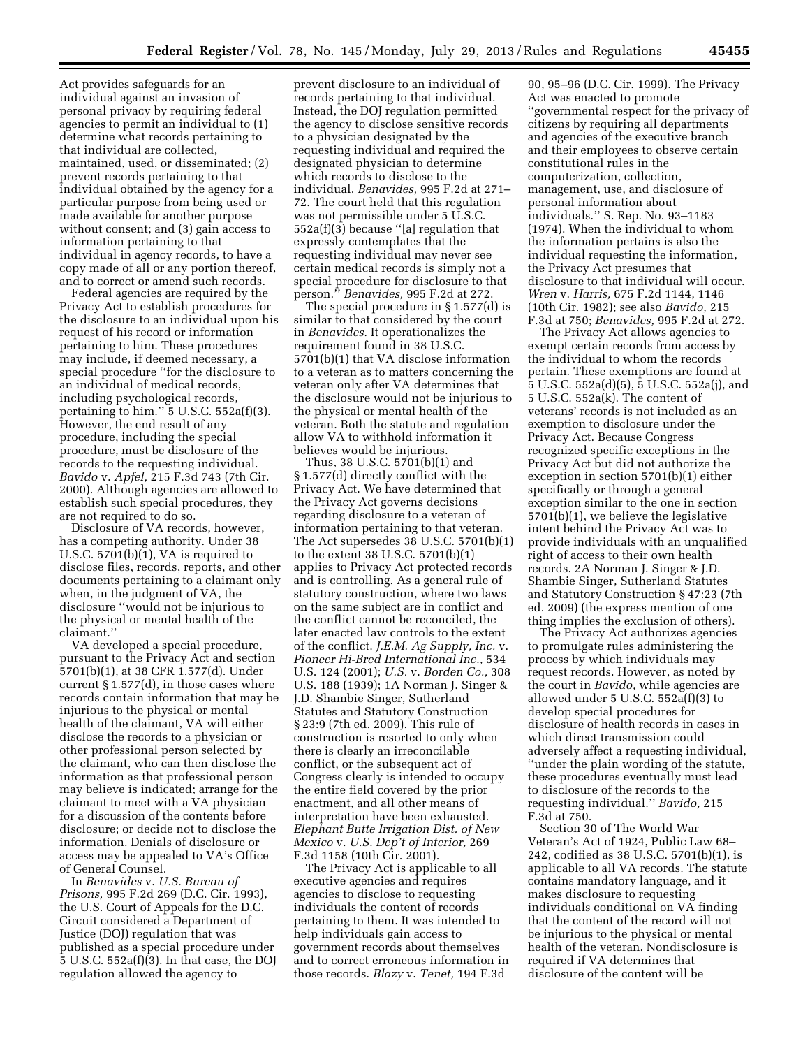Act provides safeguards for an individual against an invasion of personal privacy by requiring federal agencies to permit an individual to (1) determine what records pertaining to that individual are collected, maintained, used, or disseminated; (2) prevent records pertaining to that individual obtained by the agency for a particular purpose from being used or made available for another purpose without consent; and (3) gain access to information pertaining to that individual in agency records, to have a copy made of all or any portion thereof, and to correct or amend such records.

Federal agencies are required by the Privacy Act to establish procedures for the disclosure to an individual upon his request of his record or information pertaining to him. These procedures may include, if deemed necessary, a special procedure ''for the disclosure to an individual of medical records, including psychological records, pertaining to him."  $5$  U.S.C.  $552a(f)(3)$ . However, the end result of any procedure, including the special procedure, must be disclosure of the records to the requesting individual. *Bavido* v. *Apfel,* 215 F.3d 743 (7th Cir. 2000). Although agencies are allowed to establish such special procedures, they are not required to do so.

Disclosure of VA records, however, has a competing authority. Under 38 U.S.C. 5701(b)(1), VA is required to disclose files, records, reports, and other documents pertaining to a claimant only when, in the judgment of VA, the disclosure ''would not be injurious to the physical or mental health of the claimant.''

VA developed a special procedure, pursuant to the Privacy Act and section 5701(b)(1), at 38 CFR 1.577(d). Under current § 1.577(d), in those cases where records contain information that may be injurious to the physical or mental health of the claimant, VA will either disclose the records to a physician or other professional person selected by the claimant, who can then disclose the information as that professional person may believe is indicated; arrange for the claimant to meet with a VA physician for a discussion of the contents before disclosure; or decide not to disclose the information. Denials of disclosure or access may be appealed to VA's Office of General Counsel.

In *Benavides* v. *U.S. Bureau of Prisons,* 995 F.2d 269 (D.C. Cir. 1993), the U.S. Court of Appeals for the D.C. Circuit considered a Department of Justice (DOJ) regulation that was published as a special procedure under 5 U.S.C. 552a(f)(3). In that case, the DOJ regulation allowed the agency to

prevent disclosure to an individual of records pertaining to that individual. Instead, the DOJ regulation permitted the agency to disclose sensitive records to a physician designated by the requesting individual and required the designated physician to determine which records to disclose to the individual. *Benavides,* 995 F.2d at 271– 72. The court held that this regulation was not permissible under 5 U.S.C.  $552a(f)(3)$  because "[a] regulation that expressly contemplates that the requesting individual may never see certain medical records is simply not a special procedure for disclosure to that person.'' *Benavides,* 995 F.2d at 272.

The special procedure in § 1.577(d) is similar to that considered by the court in *Benavides.* It operationalizes the requirement found in 38 U.S.C. 5701(b)(1) that VA disclose information to a veteran as to matters concerning the veteran only after VA determines that the disclosure would not be injurious to the physical or mental health of the veteran. Both the statute and regulation allow VA to withhold information it believes would be injurious.

Thus, 38 U.S.C. 5701(b)(1) and § 1.577(d) directly conflict with the Privacy Act. We have determined that the Privacy Act governs decisions regarding disclosure to a veteran of information pertaining to that veteran. The Act supersedes 38 U.S.C. 5701(b)(1) to the extent 38 U.S.C. 5701(b)(1) applies to Privacy Act protected records and is controlling. As a general rule of statutory construction, where two laws on the same subject are in conflict and the conflict cannot be reconciled, the later enacted law controls to the extent of the conflict. *J.E.M. Ag Supply, Inc.* v. *Pioneer Hi-Bred International Inc.,* 534 U.S. 124 (2001); *U.S.* v. *Borden Co.,* 308 U.S. 188 (1939); 1A Norman J. Singer & J.D. Shambie Singer, Sutherland Statutes and Statutory Construction § 23:9 (7th ed. 2009). This rule of construction is resorted to only when there is clearly an irreconcilable conflict, or the subsequent act of Congress clearly is intended to occupy the entire field covered by the prior enactment, and all other means of interpretation have been exhausted. *Elephant Butte Irrigation Dist. of New Mexico* v. *U.S. Dep't of Interior,* 269 F.3d 1158 (10th Cir. 2001).

The Privacy Act is applicable to all executive agencies and requires agencies to disclose to requesting individuals the content of records pertaining to them. It was intended to help individuals gain access to government records about themselves and to correct erroneous information in those records. *Blazy* v. *Tenet,* 194 F.3d

90, 95–96 (D.C. Cir. 1999). The Privacy Act was enacted to promote ''governmental respect for the privacy of citizens by requiring all departments and agencies of the executive branch and their employees to observe certain constitutional rules in the computerization, collection, management, use, and disclosure of personal information about individuals.'' S. Rep. No. 93–1183 (1974). When the individual to whom the information pertains is also the individual requesting the information, the Privacy Act presumes that disclosure to that individual will occur. *Wren* v. *Harris,* 675 F.2d 1144, 1146 (10th Cir. 1982); see also *Bavido,* 215 F.3d at 750; *Benavides,* 995 F.2d at 272.

The Privacy Act allows agencies to exempt certain records from access by the individual to whom the records pertain. These exemptions are found at 5 U.S.C. 552a(d)(5), 5 U.S.C. 552a(j), and 5 U.S.C. 552a(k). The content of veterans' records is not included as an exemption to disclosure under the Privacy Act. Because Congress recognized specific exceptions in the Privacy Act but did not authorize the exception in section 5701(b)(1) either specifically or through a general exception similar to the one in section 5701(b)(1), we believe the legislative intent behind the Privacy Act was to provide individuals with an unqualified right of access to their own health records. 2A Norman J. Singer & J.D. Shambie Singer, Sutherland Statutes and Statutory Construction § 47:23 (7th ed. 2009) (the express mention of one thing implies the exclusion of others).

The Privacy Act authorizes agencies to promulgate rules administering the process by which individuals may request records. However, as noted by the court in *Bavido,* while agencies are allowed under 5 U.S.C. 552a(f)(3) to develop special procedures for disclosure of health records in cases in which direct transmission could adversely affect a requesting individual, ''under the plain wording of the statute, these procedures eventually must lead to disclosure of the records to the requesting individual.'' *Bavido,* 215 F.3d at 750.

Section 30 of The World War Veteran's Act of 1924, Public Law 68– 242, codified as 38 U.S.C. 5701(b)(1), is applicable to all VA records. The statute contains mandatory language, and it makes disclosure to requesting individuals conditional on VA finding that the content of the record will not be injurious to the physical or mental health of the veteran. Nondisclosure is required if VA determines that disclosure of the content will be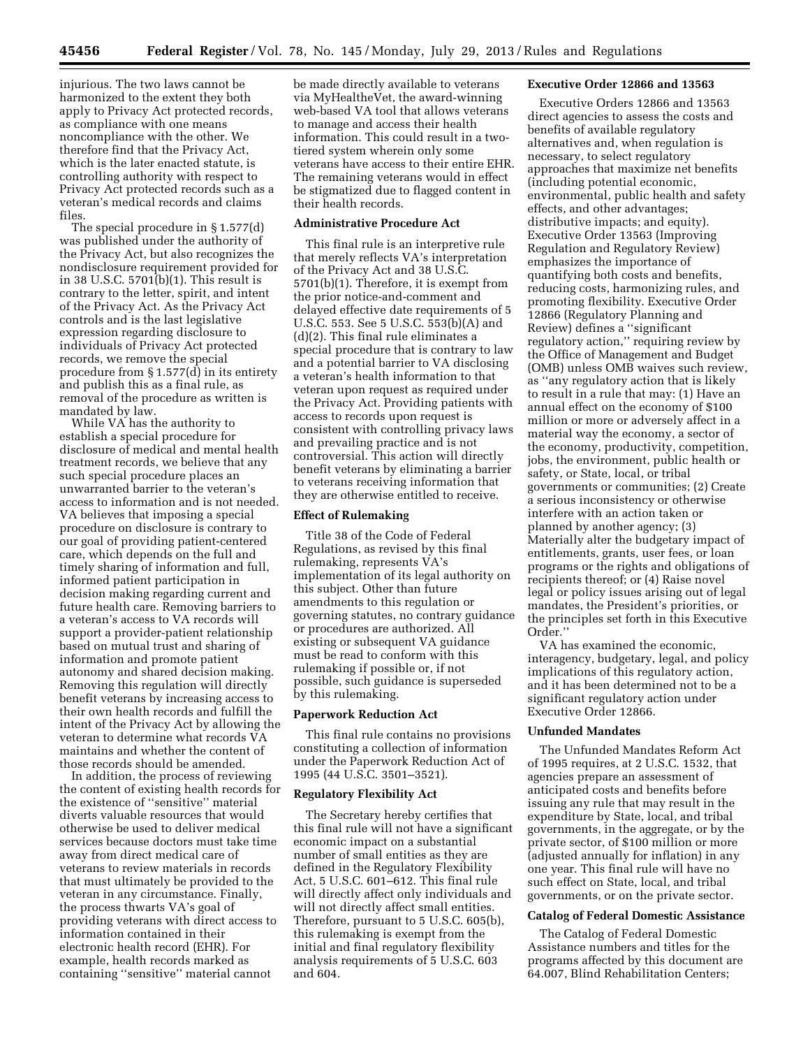injurious. The two laws cannot be harmonized to the extent they both apply to Privacy Act protected records, as compliance with one means noncompliance with the other. We therefore find that the Privacy Act, which is the later enacted statute, is controlling authority with respect to Privacy Act protected records such as a veteran's medical records and claims files.

The special procedure in § 1.577(d) was published under the authority of the Privacy Act, but also recognizes the nondisclosure requirement provided for in 38 U.S.C. 5701(b)(1). This result is contrary to the letter, spirit, and intent of the Privacy Act. As the Privacy Act controls and is the last legislative expression regarding disclosure to individuals of Privacy Act protected records, we remove the special procedure from § 1.577(d) in its entirety and publish this as a final rule, as removal of the procedure as written is mandated by law.

While VA has the authority to establish a special procedure for disclosure of medical and mental health treatment records, we believe that any such special procedure places an unwarranted barrier to the veteran's access to information and is not needed. VA believes that imposing a special procedure on disclosure is contrary to our goal of providing patient-centered care, which depends on the full and timely sharing of information and full, informed patient participation in decision making regarding current and future health care. Removing barriers to a veteran's access to VA records will support a provider-patient relationship based on mutual trust and sharing of information and promote patient autonomy and shared decision making. Removing this regulation will directly benefit veterans by increasing access to their own health records and fulfill the intent of the Privacy Act by allowing the veteran to determine what records VA maintains and whether the content of those records should be amended.

In addition, the process of reviewing the content of existing health records for the existence of ''sensitive'' material diverts valuable resources that would otherwise be used to deliver medical services because doctors must take time away from direct medical care of veterans to review materials in records that must ultimately be provided to the veteran in any circumstance. Finally, the process thwarts VA's goal of providing veterans with direct access to information contained in their electronic health record (EHR). For example, health records marked as containing ''sensitive'' material cannot

be made directly available to veterans via MyHealtheVet, the award-winning web-based VA tool that allows veterans to manage and access their health information. This could result in a twotiered system wherein only some veterans have access to their entire EHR. The remaining veterans would in effect be stigmatized due to flagged content in their health records.

## **Administrative Procedure Act**

This final rule is an interpretive rule that merely reflects VA's interpretation of the Privacy Act and 38 U.S.C. 5701(b)(1). Therefore, it is exempt from the prior notice-and-comment and delayed effective date requirements of 5 U.S.C. 553. See 5 U.S.C. 553(b)(A) and (d)(2). This final rule eliminates a special procedure that is contrary to law and a potential barrier to VA disclosing a veteran's health information to that veteran upon request as required under the Privacy Act. Providing patients with access to records upon request is consistent with controlling privacy laws and prevailing practice and is not controversial. This action will directly benefit veterans by eliminating a barrier to veterans receiving information that they are otherwise entitled to receive.

# **Effect of Rulemaking**

Title 38 of the Code of Federal Regulations, as revised by this final rulemaking, represents VA's implementation of its legal authority on this subject. Other than future amendments to this regulation or governing statutes, no contrary guidance or procedures are authorized. All existing or subsequent VA guidance must be read to conform with this rulemaking if possible or, if not possible, such guidance is superseded by this rulemaking.

### **Paperwork Reduction Act**

This final rule contains no provisions constituting a collection of information under the Paperwork Reduction Act of 1995 (44 U.S.C. 3501–3521).

#### **Regulatory Flexibility Act**

The Secretary hereby certifies that this final rule will not have a significant economic impact on a substantial number of small entities as they are defined in the Regulatory Flexibility Act, 5 U.S.C. 601–612. This final rule will directly affect only individuals and will not directly affect small entities. Therefore, pursuant to 5 U.S.C. 605(b), this rulemaking is exempt from the initial and final regulatory flexibility analysis requirements of 5 U.S.C. 603 and 604.

## **Executive Order 12866 and 13563**

Executive Orders 12866 and 13563 direct agencies to assess the costs and benefits of available regulatory alternatives and, when regulation is necessary, to select regulatory approaches that maximize net benefits (including potential economic, environmental, public health and safety effects, and other advantages; distributive impacts; and equity). Executive Order 13563 (Improving Regulation and Regulatory Review) emphasizes the importance of quantifying both costs and benefits, reducing costs, harmonizing rules, and promoting flexibility. Executive Order 12866 (Regulatory Planning and Review) defines a ''significant regulatory action,'' requiring review by the Office of Management and Budget (OMB) unless OMB waives such review, as ''any regulatory action that is likely to result in a rule that may: (1) Have an annual effect on the economy of \$100 million or more or adversely affect in a material way the economy, a sector of the economy, productivity, competition, jobs, the environment, public health or safety, or State, local, or tribal governments or communities; (2) Create a serious inconsistency or otherwise interfere with an action taken or planned by another agency; (3) Materially alter the budgetary impact of entitlements, grants, user fees, or loan programs or the rights and obligations of recipients thereof; or (4) Raise novel legal or policy issues arising out of legal mandates, the President's priorities, or the principles set forth in this Executive Order.''

VA has examined the economic, interagency, budgetary, legal, and policy implications of this regulatory action, and it has been determined not to be a significant regulatory action under Executive Order 12866.

### **Unfunded Mandates**

The Unfunded Mandates Reform Act of 1995 requires, at 2 U.S.C. 1532, that agencies prepare an assessment of anticipated costs and benefits before issuing any rule that may result in the expenditure by State, local, and tribal governments, in the aggregate, or by the private sector, of \$100 million or more (adjusted annually for inflation) in any one year. This final rule will have no such effect on State, local, and tribal governments, or on the private sector.

### **Catalog of Federal Domestic Assistance**

The Catalog of Federal Domestic Assistance numbers and titles for the programs affected by this document are 64.007, Blind Rehabilitation Centers;